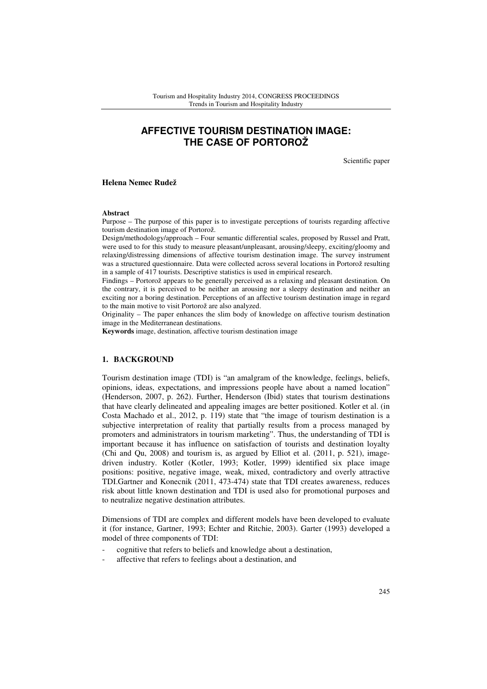# **AFFECTIVE TOURISM DESTINATION IMAGE: THE CASE OF PORTOROŽ**

Scientific paper

#### **Helena Nemec Rudež**

#### **Abstract**

Purpose – The purpose of this paper is to investigate perceptions of tourists regarding affective tourism destination image of Portorož.

Design/methodology/approach – Four semantic differential scales, proposed by Russel and Pratt, were used to for this study to measure pleasant/unpleasant, arousing/sleepy, exciting/gloomy and relaxing/distressing dimensions of affective tourism destination image. The survey instrument was a structured questionnaire. Data were collected across several locations in Portorož resulting in a sample of 417 tourists. Descriptive statistics is used in empirical research.

Findings – Portorož appears to be generally perceived as a relaxing and pleasant destination. On the contrary, it is perceived to be neither an arousing nor a sleepy destination and neither an exciting nor a boring destination. Perceptions of an affective tourism destination image in regard to the main motive to visit Portorož are also analyzed.

Originality – The paper enhances the slim body of knowledge on affective tourism destination image in the Mediterranean destinations.

**Keywords** image, destination, affective tourism destination image

#### **1. BACKGROUND**

Tourism destination image (TDI) is "an amalgram of the knowledge, feelings, beliefs, opinions, ideas, expectations, and impressions people have about a named location" (Henderson, 2007, p. 262). Further, Henderson (Ibid) states that tourism destinations that have clearly delineated and appealing images are better positioned. Kotler et al. (in Costa Machado et al., 2012, p. 119) state that "the image of tourism destination is a subjective interpretation of reality that partially results from a process managed by promoters and administrators in tourism marketing". Thus, the understanding of TDI is important because it has influence on satisfaction of tourists and destination loyalty (Chi and Qu, 2008) and tourism is, as argued by Elliot et al. (2011, p. 521), imagedriven industry. Kotler (Kotler, 1993; Kotler, 1999) identified six place image positions: positive, negative image, weak, mixed, contradictory and overly attractive TDI.Gartner and Konecnik (2011, 473-474) state that TDI creates awareness, reduces risk about little known destination and TDI is used also for promotional purposes and to neutralize negative destination attributes.

Dimensions of TDI are complex and different models have been developed to evaluate it (for instance, Gartner, 1993; Echter and Ritchie, 2003). Garter (1993) developed a model of three components of TDI:

- cognitive that refers to beliefs and knowledge about a destination,
- affective that refers to feelings about a destination, and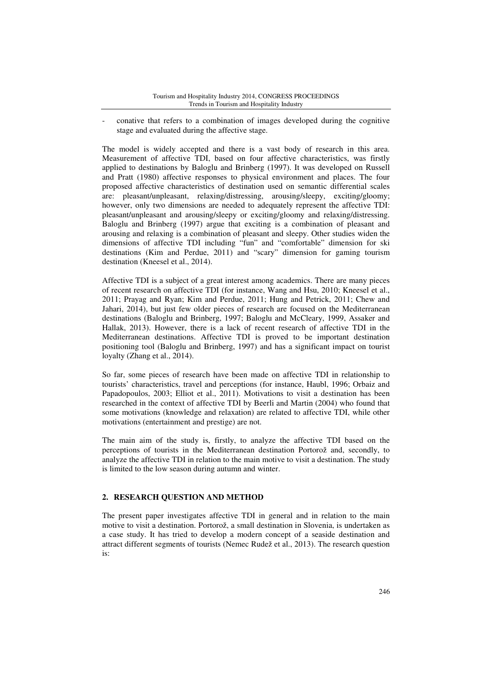- conative that refers to a combination of images developed during the cognitive stage and evaluated during the affective stage.

The model is widely accepted and there is a vast body of research in this area. Measurement of affective TDI, based on four affective characteristics, was firstly applied to destinations by Baloglu and Brinberg (1997). It was developed on Russell and Pratt (1980) affective responses to physical environment and places. The four proposed affective characteristics of destination used on semantic differential scales are: pleasant/unpleasant, relaxing/distressing, arousing/sleepy, exciting/gloomy; however, only two dimensions are needed to adequately represent the affective TDI: pleasant/unpleasant and arousing/sleepy or exciting/gloomy and relaxing/distressing. Baloglu and Brinberg (1997) argue that exciting is a combination of pleasant and arousing and relaxing is a combination of pleasant and sleepy. Other studies widen the dimensions of affective TDI including "fun" and "comfortable" dimension for ski destinations (Kim and Perdue, 2011) and "scary" dimension for gaming tourism destination (Kneesel et al., 2014).

Affective TDI is a subject of a great interest among academics. There are many pieces of recent research on affective TDI (for instance, Wang and Hsu, 2010; Kneesel et al., 2011; Prayag and Ryan; Kim and Perdue, 2011; Hung and Petrick, 2011; Chew and Jahari, 2014), but just few older pieces of research are focused on the Mediterranean destinations (Baloglu and Brinberg, 1997; Baloglu and McCleary, 1999, Assaker and Hallak, 2013). However, there is a lack of recent research of affective TDI in the Mediterranean destinations. Affective TDI is proved to be important destination positioning tool (Baloglu and Brinberg, 1997) and has a significant impact on tourist loyalty (Zhang et al., 2014).

So far, some pieces of research have been made on affective TDI in relationship to tourists' characteristics, travel and perceptions (for instance, Haubl, 1996; Orbaiz and Papadopoulos, 2003; Elliot et al., 2011). Motivations to visit a destination has been researched in the context of affective TDI by Beerli and Martin (2004) who found that some motivations (knowledge and relaxation) are related to affective TDI, while other motivations (entertainment and prestige) are not.

The main aim of the study is, firstly, to analyze the affective TDI based on the perceptions of tourists in the Mediterranean destination Portorož and, secondly, to analyze the affective TDI in relation to the main motive to visit a destination. The study is limited to the low season during autumn and winter.

## **2. RESEARCH QUESTION AND METHOD**

The present paper investigates affective TDI in general and in relation to the main motive to visit a destination. Portorož, a small destination in Slovenia, is undertaken as a case study. It has tried to develop a modern concept of a seaside destination and attract different segments of tourists (Nemec Rudež et al., 2013). The research question is: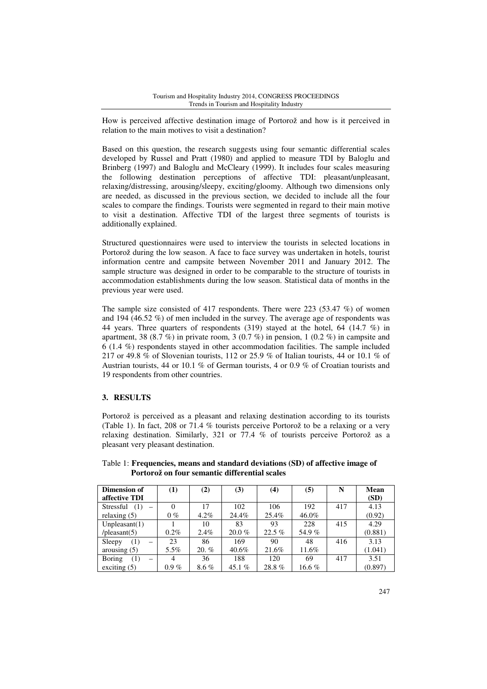How is perceived affective destination image of Portorož and how is it perceived in relation to the main motives to visit a destination?

Based on this question, the research suggests using four semantic differential scales developed by Russel and Pratt (1980) and applied to measure TDI by Baloglu and Brinberg (1997) and Baloglu and McCleary (1999). It includes four scales measuring the following destination perceptions of affective TDI: pleasant/unpleasant, relaxing/distressing, arousing/sleepy, exciting/gloomy. Although two dimensions only are needed, as discussed in the previous section, we decided to include all the four scales to compare the findings. Tourists were segmented in regard to their main motive to visit a destination. Affective TDI of the largest three segments of tourists is additionally explained.

Structured questionnaires were used to interview the tourists in selected locations in Portorož during the low season. A face to face survey was undertaken in hotels, tourist information centre and campsite between November 2011 and January 2012. The sample structure was designed in order to be comparable to the structure of tourists in accommodation establishments during the low season. Statistical data of months in the previous year were used.

The sample size consisted of 417 respondents. There were 223 (53.47 %) of women and 194 (46.52 %) of men included in the survey. The average age of respondents was 44 years. Three quarters of respondents (319) stayed at the hotel, 64 (14.7 %) in apartment, 38  $(8.7 \%)$  in private room, 3  $(0.7 \%)$  in pension, 1  $(0.2 \%)$  in campsite and 6 (1.4 %) respondents stayed in other accommodation facilities. The sample included 217 or 49.8 % of Slovenian tourists, 112 or 25.9 % of Italian tourists, 44 or 10.1 % of Austrian tourists, 44 or 10.1 % of German tourists, 4 or 0.9 % of Croatian tourists and 19 respondents from other countries.

### **3. RESULTS**

Portorož is perceived as a pleasant and relaxing destination according to its tourists (Table 1). In fact, 208 or 71.4 % tourists perceive Portorož to be a relaxing or a very relaxing destination. Similarly, 321 or 77.4 % of tourists perceive Portorož as a pleasant very pleasant destination.

| Dimension of       | $\bf(1)$ | (2)      | (3)       | (4)      | (5)      | N   | Mean    |
|--------------------|----------|----------|-----------|----------|----------|-----|---------|
| affective TDI      |          |          |           |          |          |     | (SD)    |
| Stressful $(1)$    | $\Omega$ | 17       | 102       | 106      | 192      | 417 | 4.13    |
| relaxing $(5)$     | $0\%$    | $4.2\%$  | 24.4%     | 25.4%    | 46.0%    |     | (0.92)  |
| Unpleasant(1)      |          | 10       | 83        | 93       | 228      | 415 | 4.29    |
| $/$ pleasant $(5)$ | $0.2\%$  | 2.4%     | $20.0 \%$ | $22.5\%$ | 54.9%    |     | (0.881) |
| Sleepy<br>(1)      | 23       | 86       | 169       | 90       | 48       | 416 | 3.13    |
| arousing $(5)$     | 5.5%     | $20. \%$ | 40.6%     | 21.6%    | 11.6%    |     | (1.041) |
| Boring<br>(1)      | 4        | 36       | 188       | 120      | 69       | 417 | 3.51    |
| exciting $(5)$     | $0.9\%$  | $8.6\%$  | 45.1 $%$  | 28.8%    | 16.6 $%$ |     | (0.897) |

### Table 1: **Frequencies, means and standard deviations (SD) of affective image of Portorož on four semantic differential scales**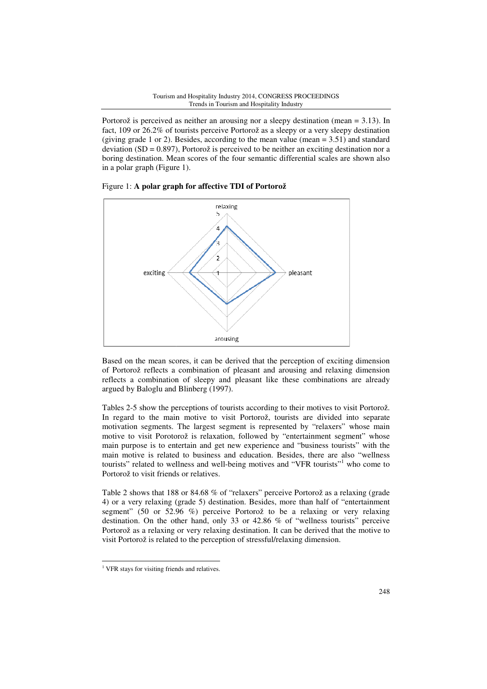Portorož is perceived as neither an arousing nor a sleepy destination (mean = 3.13). In fact, 109 or 26.2% of tourists perceive Portorož as a sleepy or a very sleepy destination (giving grade 1 or 2). B Besides, according to the mean value (mean = 3.51) and standard deviation (SD =  $0.897$ ), Portorož is perceived to be neither an exciting destination nor a boring destination. Mean scores of the four semantic differential scales are shown also in a polar graph (Figure 1 Figure 1).

Figure 1: **A polar graph for affective TDI of Portorož**



Based on the mean scores, it can be derived that the perception of exciting dimension of Portorož reflects a combination of pleasant and arousing and relaxing dimension reflects a combination of sleepy and pleasant like these combinations are already argued by Baloglu and Blinberg (1997).

Tables 2-5 show the perceptions of tourists according to their motives to visit Portorož. In regard to the main motive to visit Portorož, tourists are divided into separate motivation segments. The largest segment is represented by "relaxers" whose main motive to visit Porotorož is relaxation, followed by "entertainment segment" whose motive to visit Porotorož is relaxation, followed by "entertainment segment" whose<br>main purpose is to entertain and get new experience and "business tourists" with the main motive is related to business and education. Besides, there are also "wellness tourists" related to wellness and well-being motives and "VFR tourists"<sup>1</sup> who come to Portorož to visit friends or relatives.

Table 2 shows that 188 or 84.68 % of "relaxers" perceive Portorož as a relaxing (grade 4) or a very relaxing (grade 5) destination. Besides, more than half of "entertainment segment" (50 or 52.96 %) perceive Portorož to be a relaxing or very relaxing destination. On the other hand, only 33 or 42.86 % of "wellness tourists" perceive Portorož as a relaxing or very relaxing destination. It can be derived that the motive to visit Portorož is related to the perception of stressful/relaxing dimension.

l

<sup>&</sup>lt;sup>1</sup> VFR stays for visiting friends and relatives.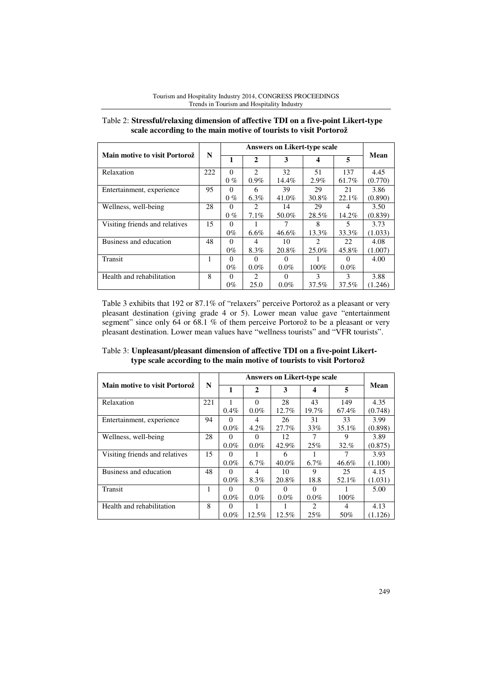|                                | N   |          |                             |          |                             |               |         |
|--------------------------------|-----|----------|-----------------------------|----------|-----------------------------|---------------|---------|
| Main motive to visit Portorož  |     | 1        | $\mathbf{2}$                | 3        | 4                           | 5             | Mean    |
| Relaxation                     | 222 | $\Omega$ | $\mathcal{D}_{\mathcal{A}}$ | 32       | 51                          | 137           | 4.45    |
|                                |     | $0\%$    | $0.9\%$                     | 14.4%    | 2.9%                        | 61.7%         | (0.770) |
| Entertainment, experience      | 95  | $\Omega$ | 6                           | 39       | 29                          | 21            | 3.86    |
|                                |     | $0\%$    | $6.3\%$                     | 41.0%    | 30.8%                       | 22.1%         | (0.890) |
| Wellness, well-being           | 28  | 0        | 2                           | 14       | 29                          |               | 3.50    |
|                                |     | $0\%$    | 7.1%                        | 50.0%    | 28.5%                       | 14.2%         | (0.839) |
| Visiting friends and relatives | 15  | 0        |                             |          | 8                           | 5             | 3.73    |
|                                |     | $0\%$    | 6.6%                        | 46.6%    | 13.3%                       | 33.3%         | (1.033) |
| Business and education         | 48  | $\Omega$ | 4                           | 10       | $\mathcal{D}_{\mathcal{L}}$ | 22            | 4.08    |
|                                |     | 0%       | 8.3%                        | 20.8%    | 25.0%                       | 45.8%         | (1.007) |
| Transit                        |     | 0        | $\Omega$                    |          |                             |               | 4.00    |
|                                |     | $0\%$    | $0.0\%$                     | $0.0\%$  | $100\%$                     | $0.0\%$       |         |
| Health and rehabilitation      | 8   | 0        | $\mathcal{D}_{\mathcal{L}}$ | $\theta$ | 3                           | $\mathcal{F}$ | 3.88    |
|                                |     | $0\%$    | 25.0                        | $0.0\%$  | 37.5%                       | 37.5%         | (1.246) |

Tourism and Hospitality Industry 2014, CONGRESS PROCEEDINGS Trends in Tourism and Hospitality Industry

Table 2: **Stressful/relaxing dimension of affective TDI on a five-point Likert-type scale according to the main motive of tourists to visit Portorož** 

Table 3 exhibits that 192 or 87.1% of "relaxers" perceive Portorož as a pleasant or very pleasant destination (giving grade 4 or 5). Lower mean value gave "entertainment segment" since only 64 or 68.1 % of them perceive Portorož to be a pleasant or very pleasant destination. Lower mean values have "wellness tourists" and "VFR tourists".

|                                | N   |          |              |         |                               |          |         |
|--------------------------------|-----|----------|--------------|---------|-------------------------------|----------|---------|
| Main motive to visit Portorož  |     | 1        | $\mathbf{2}$ | 3       | 4                             | 5        | Mean    |
| Relaxation                     | 221 |          | $\Omega$     | 28      | 43                            | 149      | 4.35    |
|                                |     | $0.4\%$  | $0.0\%$      | 12.7%   | 19.7%                         | 67.4%    | (0.748) |
| Entertainment, experience      | 94  | $\theta$ | 4            | 26      | 31                            | 33       | 3.99    |
|                                |     | $0.0\%$  | $4.2\%$      | 27.7%   | 33%                           | $35.1\%$ | (0.898) |
| Wellness, well-being           | 28  | 0        | 0            | 12      |                               | 9        | 3.89    |
|                                |     | $0.0\%$  | $0.0\%$      | 42.9%   | 25%                           | $32. \%$ | (0.875) |
| Visiting friends and relatives | 15  | 0        |              | 6       |                               |          | 3.93    |
|                                |     | $0.0\%$  | $6.7\%$      | 40.0%   | $6.7\%$                       | 46.6%    | (1.100) |
| Business and education         | 48  | 0        | 4            | 10      | 9                             | 25       | 4.15    |
|                                |     | $0.0\%$  | 8.3%         | 20.8%   | 18.8                          | 52.1%    | (1.031) |
| Transit                        | 1   | 0        | $\theta$     | 0       | 0                             |          | 5.00    |
|                                |     | $0.0\%$  | $0.0\%$      | $0.0\%$ | $0.0\%$                       | $100\%$  |         |
| Health and rehabilitation      | 8   | 0        |              |         | $\mathfrak{D}_{\mathfrak{p}}$ | 4        | 4.13    |
|                                |     | $0.0\%$  | 12.5%        | 12.5%   | 25%                           | 50%      | (1.126) |

Table 3: **Unpleasant/pleasant dimension of affective TDI on a five-point Likerttype scale according to the main motive of tourists to visit Portorož**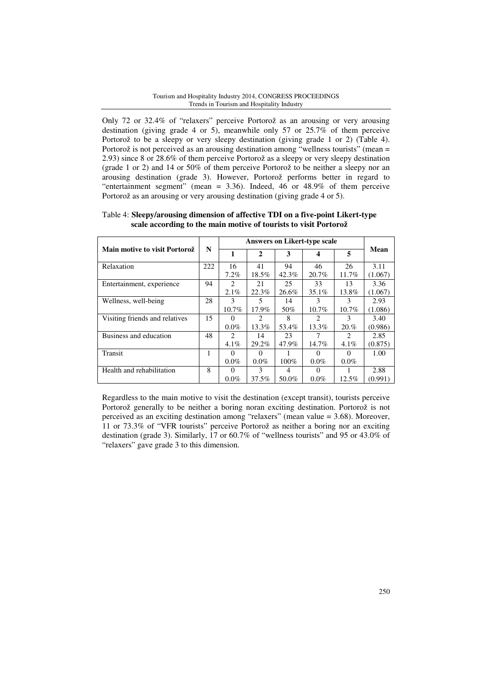#### Tourism and Hospitality Industry 2014, CONGRESS PROCEEDINGS Trends in Tourism and Hospitality Industry

Only 72 or 32.4% of "relaxers" perceive Portorož as an arousing or very arousing destination (giving grade 4 or 5), meanwhile only 57 or 25.7% of them perceive Portorož to be a sleepy or very sleepy destination (giving grade 1 or 2) (Table 4). Portorož is not perceived as an arousing destination among "wellness tourists" (mean = 2.93) since 8 or 28.6% of them perceive Portorož as a sleepy or very sleepy destination (grade 1 or 2) and 14 or 50% of them perceive Portorož to be neither a sleepy nor an arousing destination (grade 3). However, Portorož performs better in regard to "entertainment segment" (mean = 3.36). Indeed, 46 or 48.9% of them perceive Portorož as an arousing or very arousing destination (giving grade 4 or 5).

|                                | N   | <b>Answers on Likert-type scale</b> |                               |         |                             |                             |         |
|--------------------------------|-----|-------------------------------------|-------------------------------|---------|-----------------------------|-----------------------------|---------|
| Main motive to visit Portorož  |     |                                     | $\mathbf{2}$                  | 3       | 4                           | 5                           | Mean    |
| Relaxation                     | 222 | 16                                  | 41                            | 94      | 46                          | 26                          | 3.11    |
|                                |     | 7.2%                                | 18.5%                         | 42.3%   | 20.7%                       | 11.7%                       | (1.067) |
| Entertainment, experience      | 94  | $\mathfrak{D}_{\mathfrak{p}}$       | 21                            | 25      | 33                          | 13                          | 3.36    |
|                                |     | 2.1%                                | 22.3%                         | 26.6%   | 35.1%                       | 13.8%                       | (1.067) |
| Wellness, well-being           | 28  | 3                                   | 5                             | 14      | 3                           | $\mathcal{F}$               | 2.93    |
|                                |     | $10.7\%$                            | 17.9%                         | 50%     | 10.7%                       | $10.7\%$                    | (1.086) |
| Visiting friends and relatives | 15  | 0                                   | $\mathfrak{D}_{\mathfrak{p}}$ | 8       | $\mathcal{D}_{\mathcal{L}}$ | 3                           | 3.40    |
|                                |     | $0.0\%$                             | 13.3%                         | 53.4%   | 13.3%                       | 20.%                        | (0.986) |
| Business and education         | 48  | $\mathfrak{D}_{\mathfrak{p}}$       | 14                            | 23      | 7                           | $\mathcal{D}_{\mathcal{L}}$ | 2.85    |
|                                |     | $4.1\%$                             | 29.2%                         | 47.9%   | 14.7%                       | $4.1\%$                     | (0.875) |
| Transit                        | 1   | $\theta$                            | 0                             |         | $\theta$                    | $\theta$                    | 1.00    |
|                                |     | $0.0\%$                             | $0.0\%$                       | $100\%$ | $0.0\%$                     | $0.0\%$                     |         |
| Health and rehabilitation      | 8   | 0                                   | 3                             | 4       | 0                           |                             | 2.88    |
|                                |     | $0.0\%$                             | 37.5%                         | 50.0%   | $0.0\%$                     | 12.5%                       | (0.991) |

Table 4: **Sleepy/arousing dimension of affective TDI on a five-point Likert-type scale according to the main motive of tourists to visit Portorož** 

Regardless to the main motive to visit the destination (except transit), tourists perceive Portorož generally to be neither a boring noran exciting destination. Portorož is not perceived as an exciting destination among "relaxers" (mean value = 3.68). Moreover, 11 or 73.3% of "VFR tourists" perceive Portorož as neither a boring nor an exciting destination (grade 3). Similarly, 17 or 60.7% of "wellness tourists" and 95 or 43.0% of "relaxers" gave grade 3 to this dimension.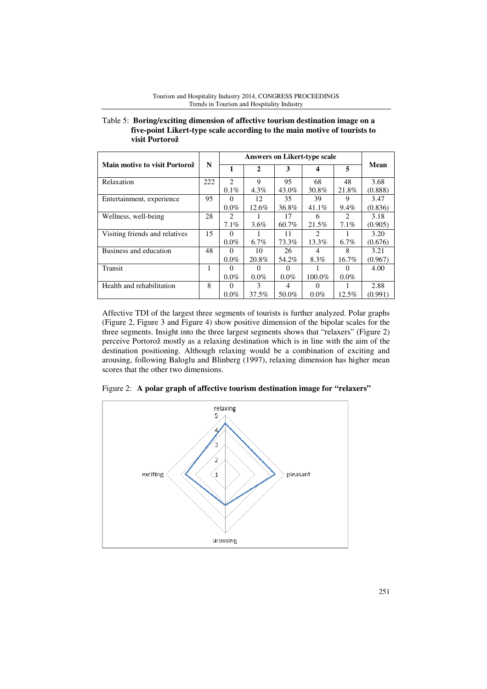|                                | N   |                             |              |          |          |                               |         |
|--------------------------------|-----|-----------------------------|--------------|----------|----------|-------------------------------|---------|
| Main motive to visit Portorož  |     | 1                           | $\mathbf{2}$ | 3        | 4        | 5                             | Mean    |
| Relaxation                     | 222 | $\mathfrak{D}$              | 9            | 95       | 68       | 48                            | 3.68    |
|                                |     | $0.1\%$                     | $4.3\%$      | 43.0%    | 30.8%    | 21.8%                         | (0.888) |
| Entertainment, experience      | 95  | $\Omega$                    | 12           | 35       | 39       | 9                             | 3.47    |
|                                |     | $0.0\%$                     | 12.6%        | 36.8%    | 41.1%    | 9.4%                          | (0.836) |
| Wellness, well-being           | 28  | $\mathcal{D}_{\mathcal{L}}$ |              | 17       | 6        | $\mathfrak{D}_{\mathfrak{p}}$ | 3.18    |
|                                |     | 7.1%                        | $3.6\%$      | 60.7%    | 21.5%    | 7.1%                          | (0.905) |
| Visiting friends and relatives | 15  | $\Omega$                    |              | 11       | 2        |                               | 3.20    |
|                                |     | $0.0\%$                     | $6.7\%$      | 73.3%    | 13.3%    | $6.7\%$                       | (0.676) |
| Business and education         | 48  | 0                           | 10           | 26       |          | 8                             | 3.21    |
|                                |     | $0.0\%$                     | 20.8%        | 54.2%    | 8.3%     | 16.7%                         | (0.967) |
| Transit                        |     | $\theta$                    | $\theta$     | $\theta$ |          | $\theta$                      | 4.00    |
|                                |     | $0.0\%$                     | $0.0\%$      | $0.0\%$  | 100.0%   | $0.0\%$                       |         |
| Health and rehabilitation      | 8   | $\Omega$                    | 3            | 4        | $\Omega$ |                               | 2.88    |
|                                |     | $0.0\%$                     | 37.5%        | 50.0%    | $0.0\%$  | 12.5%                         | (0.991) |

Table 5: Boring/exciting dimension of affective tourism destination image on a five-point Likert-type scale according to the main motive of tourists to **visit Portorož**

Affective TDI of the largest three segments of tourists is further analyzed. Polar graphs (Figure 2, Figure 3 and Figure 4) show positive dimension of the bipolar scales for the three segments. Insight into the three largest segments shows that "relaxers" (Figure 2) perceive Portorož mostly as a relaxing destination which is in line with the aim of the destination positioning. Although relaxing would be a combination of exciting and arousing, following Baloglu and Blinberg (1997), relaxing dimension has higher mean scores that the other two dimensions.



Figure 2: A polar graph of affective tourism destination image for "relaxers"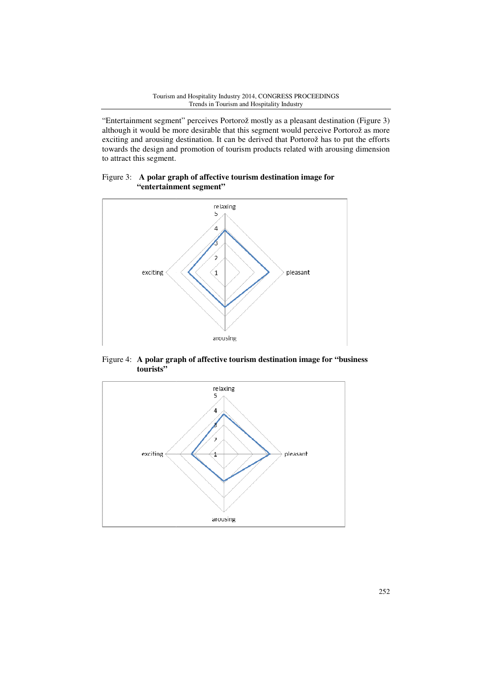"Entertainment segment" perceives Portorož mostly as a pleasant destination (Figure 3) although it would be more desirable that this segment would perceive Portorož as more exciting and arousing destination. It can be derived that Portorož has to put the efforts towards the design and promotion of tourism products related with arousing dimension to attract this segment.

Figure 3: A polar graph of affective tourism destination image for **"entertainment segment"**



Figure 4: A polar graph of affective tourism destination image for "business" **tourists"**

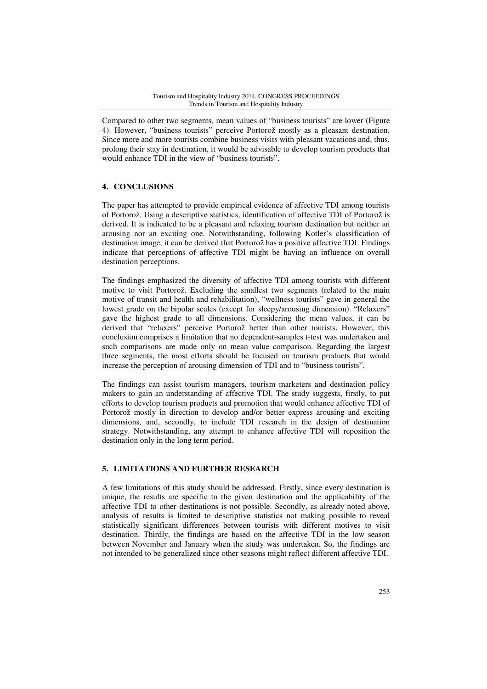Compared to other two segments, mean values of "business tourists" are lower (Figure 4). However, "business tourists" perceive Portorož mostly as a pleasant destination. Since more and more tourists combine business visits with pleasant vacations and, thus, prolong their stay in destination, it would be advisable to develop tourism products that would enhance TDI in the view of "business tourists".

### **4. CONCLUSIONS**

The paper has attempted to provide empirical evidence of affective TDI among tourists of Portorož. Using a descriptive statistics, identification of affective TDI of Portorož is derived. It is indicated to be a pleasant and relaxing tourism destination but neither an arousing nor an exciting one. Notwithstanding, following Kotler's classification of destination image, it can be derived that Portorož has a positive affective TDI. Findings indicate that perceptions of affective TDI might be having an influence on overall destination perceptions.

The findings emphasized the diversity of affective TDI among tourists with different motive to visit Portorož. Excluding the smallest two segments (related to the main motive of transit and health and rehabilitation), "wellness tourists" gave in general the lowest grade on the bipolar scales (except for sleepy/arousing dimension). "Relaxers" gave the highest grade to all dimensions. Considering the mean values, it can be derived that "relaxers" perceive Portorož better than other tourists. However, this conclusion comprises a limitation that no dependent-samples t-test was undertaken and such comparisons are made only on mean value comparison. Regarding the largest three segments, the most efforts should be focused on tourism products that would increase the perception of arousing dimension of TDI and to "business tourists".

The findings can assist tourism managers, tourism marketers and destination policy makers to gain an understanding of affective TDI. The study suggests, firstly, to put efforts to develop tourism products and promotion that would enhance affective TDI of Portorož mostly in direction to develop and/or better express arousing and exciting dimensions, and, secondly, to include TDI research in the design of destination strategy. Notwithstanding, any attempt to enhance affective TDI will reposition the destination only in the long term period.

### **5. LIMITATIONS AND FURTHER RESEARCH**

A few limitations of this study should be addressed. Firstly, since every destination is unique, the results are specific to the given destination and the applicability of the affective TDI to other destinations is not possible. Secondly, as already noted above, analysis of results is limited to descriptive statistics not making possible to reveal statistically significant differences between tourists with different motives to visit destination. Thirdly, the findings are based on the affective TDI in the low season between November and January when the study was undertaken. So, the findings are not intended to be generalized since other seasons might reflect different affective TDI.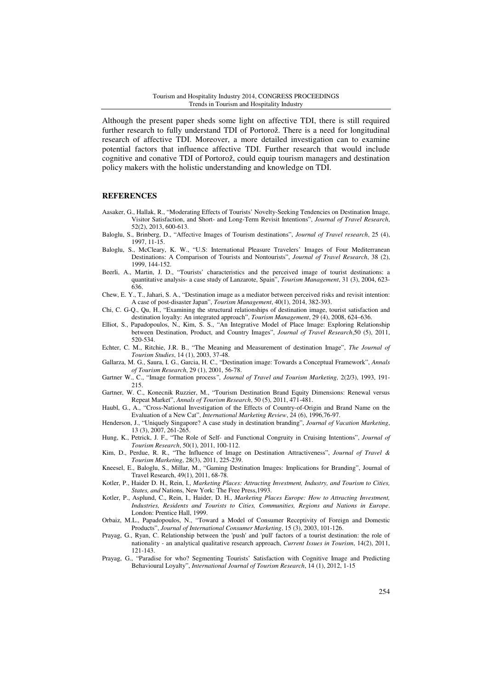Although the present paper sheds some light on affective TDI, there is still required further research to fully understand TDI of Portorož. There is a need for longitudinal research of affective TDI. Moreover, a more detailed investigation can to examine potential factors that influence affective TDI. Further research that would include cognitive and conative TDI of Portorož, could equip tourism managers and destination policy makers with the holistic understanding and knowledge on TDI.

### **REFERENCES**

- Aasaker, G., Hallak, R., "Moderating Effects of Tourists' Novelty-Seeking Tendencies on Destination Image, Visitor Satisfaction, and Short- and Long-Term Revisit Intentions", *Journal of Travel Research*, 52(2), 2013, 600-613.
- Baloglu, S., Brinberg, D., "Affective Images of Tourism destinations", *Journal of Travel research*, 25 (4), 1997, 11-15.
- Baloglu, S., McCleary, K. W., "U.S: International Pleasure Travelers' Images of Four Mediterranean Destinations: A Comparison of Tourists and Nontourists", *Journal of Travel Research*, 38 (2), 1999, 144-152.
- Beerli, A., Martin, J. D., "Tourists' characteristics and the perceived image of tourist destinations: a quantitative analysis- a case study of Lanzarote, Spain", *Tourism Management*, 31 (3), 2004, 623- 636.
- Chew, E. Y., T., Jahari, S. A., "Destination image as a mediator between perceived risks and revisit intention: A case of post-disaster Japan", *Tourism Management*, 40(1), 2014, 382-393.
- Chi, C. G-Q., Qu, H., "Examining the structural relationships of destination image, tourist satisfaction and destination loyalty: An integrated approach", *Tourism Management*, 29 (4), 2008, 624–636.
- Elliot, S., Papadopoulos, N., Kim, S. S., "An Integrative Model of Place Image: Exploring Relationship between Destination, Product, and Country Images", *Journal of Travel Research*,50 (5), 2011, 520-534.
- Echter, C. M., Ritchie, J.R. B., "The Meaning and Measurement of destination Image", *The Journal of Tourism Studies*, 14 (1), 2003, 37-48.
- Gallarza, M. G., Saura, I. G., Garcia, H. C., "Destination image: Towards a Conceptual Framework", *Annals of Tourism Research*, 29 (1), 2001, 56-78.
- Gartner W., C., "Image formation process*", Journal of Travel and Tourism Marketing,* 2(2/3), 1993, 191- 215.
- Gartner, W. C., Konecnik Ruzzier, M., "Tourism Destination Brand Equity Dimensions: Renewal versus Repeat Market", *Annals of Tourism Research*, 50 (5), 2011, 471-481.
- Haubl, G., A., "Cross-National Investigation of the Effects of Country-of-Origin and Brand Name on the Evaluation of a New Cat", *International Marketing Review*, 24 (6), 1996,76-97.
- Henderson, J., "Uniquely Singapore? A case study in destination branding", *Journal of Vacation Marketing*, 13 (3), 2007, 261-265.
- Hung, K., Petrick, J. F., "The Role of Self- and Functional Congruity in Cruising Intentions", *Journal of Tourism Research*, 50(1), 2011, 100-112.
- Kim, D., Perdue, R. R., "The Influence of Image on Destination Attractiveness", *Journal of Travel & Tourism Marketing*, 28(3), 2011, 225-239.
- Kneesel, E., Baloglu, S., Millar, M., "Gaming Destination Images: Implications for Branding", Journal of Travel Research, 49(1), 2011, 68-78.
- Kotler, P., Haider D. H., Rein, I., *Marketing Places: Attracting Investment, Industry, and Tourism to Cities, States, and* Nations, New York: The Free Press,1993.
- Kotler, P., Asplund, C., Rein, I., Haider, D. H., *Marketing Places Europe: How to Attracting Investment, Industries, Residents and Tourists to Cities, Communities, Regions and Nations in Europe*. London: Prentice Hall, 1999.
- Orbaiz, M.L., Papadopoulos, N., "Toward a Model of Consumer Receptivity of Foreign and Domestic Products", *Journal of International Consumer Marketing*, 15 (3), 2003, 101-126.
- Prayag, G., Ryan, C. Relationship between the 'push' and 'pull' factors of a tourist destination: the role of nationality - an analytical qualitative research approach, *Current Issues in Tourism*, 14(2), 2011, 121-143.
- Prayag, G., "Paradise for who? Segmenting Tourists' Satisfaction with Cognitive Image and Predicting Behavioural Loyalty", *International Journal of Tourism Research*, 14 (1), 2012, 1-15